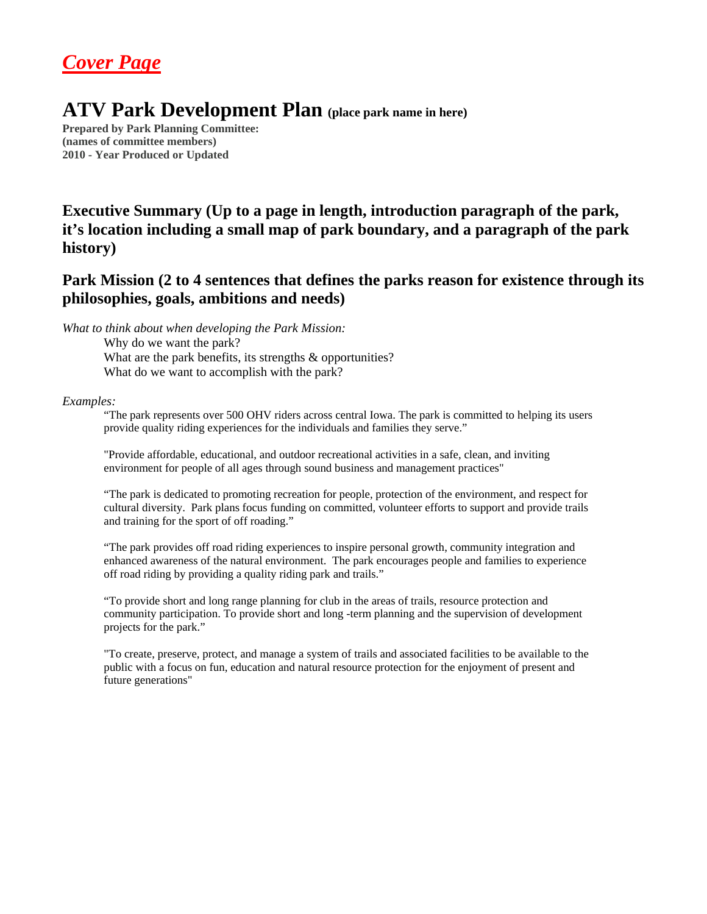## *Cover Page*

## **ATV Park Development Plan (place park name in here)**

**Prepared by Park Planning Committee: (names of committee members) 2010 - Year Produced or Updated** 

## **Executive Summary (Up to a page in length, introduction paragraph of the park, it's location including a small map of park boundary, and a paragraph of the park history)**

### **Park Mission (2 to 4 sentences that defines the parks reason for existence through its philosophies, goals, ambitions and needs)**

*What to think about when developing the Park Mission:* 

Why do we want the park?

What are the park benefits, its strengths & opportunities? What do we want to accomplish with the park?

#### *Examples:*

"The park represents over 500 OHV riders across central Iowa. The park is committed to helping its users provide quality riding experiences for the individuals and families they serve."

"Provide affordable, educational, and outdoor recreational activities in a safe, clean, and inviting environment for people of all ages through sound business and management practices"

"The park is dedicated to promoting recreation for people, protection of the environment, and respect for cultural diversity. Park plans focus funding on committed, volunteer efforts to support and provide trails and training for the sport of off roading."

"The park provides off road riding experiences to inspire personal growth, community integration and enhanced awareness of the natural environment. The park encourages people and families to experience off road riding by providing a quality riding park and trails."

"To provide short and long range planning for club in the areas of trails, resource protection and community participation. To provide short and long -term planning and the supervision of development projects for the park."

"To create, preserve, protect, and manage a system of trails and associated facilities to be available to the public with a focus on fun, education and natural resource protection for the enjoyment of present and future generations"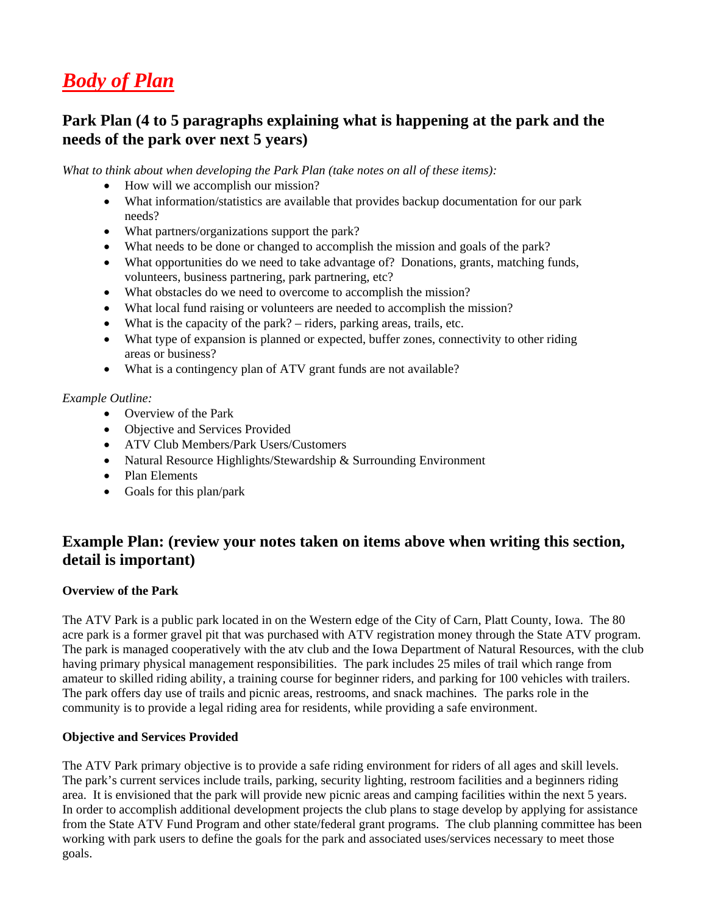## *Body of Plan*

## **Park Plan (4 to 5 paragraphs explaining what is happening at the park and the needs of the park over next 5 years)**

*What to think about when developing the Park Plan (take notes on all of these items):* 

- How will we accomplish our mission?
- What information/statistics are available that provides backup documentation for our park needs?
- What partners/organizations support the park?
- What needs to be done or changed to accomplish the mission and goals of the park?
- What opportunities do we need to take advantage of? Donations, grants, matching funds, volunteers, business partnering, park partnering, etc?
- What obstacles do we need to overcome to accomplish the mission?
- What local fund raising or volunteers are needed to accomplish the mission?
- What is the capacity of the park? riders, parking areas, trails, etc.
- What type of expansion is planned or expected, buffer zones, connectivity to other riding areas or business?
- What is a contingency plan of ATV grant funds are not available?

#### *Example Outline:*

- Overview of the Park
- Objective and Services Provided
- ATV Club Members/Park Users/Customers
- Natural Resource Highlights/Stewardship & Surrounding Environment
- Plan Elements
- Goals for this plan/park

## **Example Plan: (review your notes taken on items above when writing this section, detail is important)**

#### **Overview of the Park**

The ATV Park is a public park located in on the Western edge of the City of Carn, Platt County, Iowa. The 80 acre park is a former gravel pit that was purchased with ATV registration money through the State ATV program. The park is managed cooperatively with the atv club and the Iowa Department of Natural Resources, with the club having primary physical management responsibilities. The park includes 25 miles of trail which range from amateur to skilled riding ability, a training course for beginner riders, and parking for 100 vehicles with trailers. The park offers day use of trails and picnic areas, restrooms, and snack machines. The parks role in the community is to provide a legal riding area for residents, while providing a safe environment.

#### **Objective and Services Provided**

The ATV Park primary objective is to provide a safe riding environment for riders of all ages and skill levels. The park's current services include trails, parking, security lighting, restroom facilities and a beginners riding area. It is envisioned that the park will provide new picnic areas and camping facilities within the next 5 years. In order to accomplish additional development projects the club plans to stage develop by applying for assistance from the State ATV Fund Program and other state/federal grant programs. The club planning committee has been working with park users to define the goals for the park and associated uses/services necessary to meet those goals.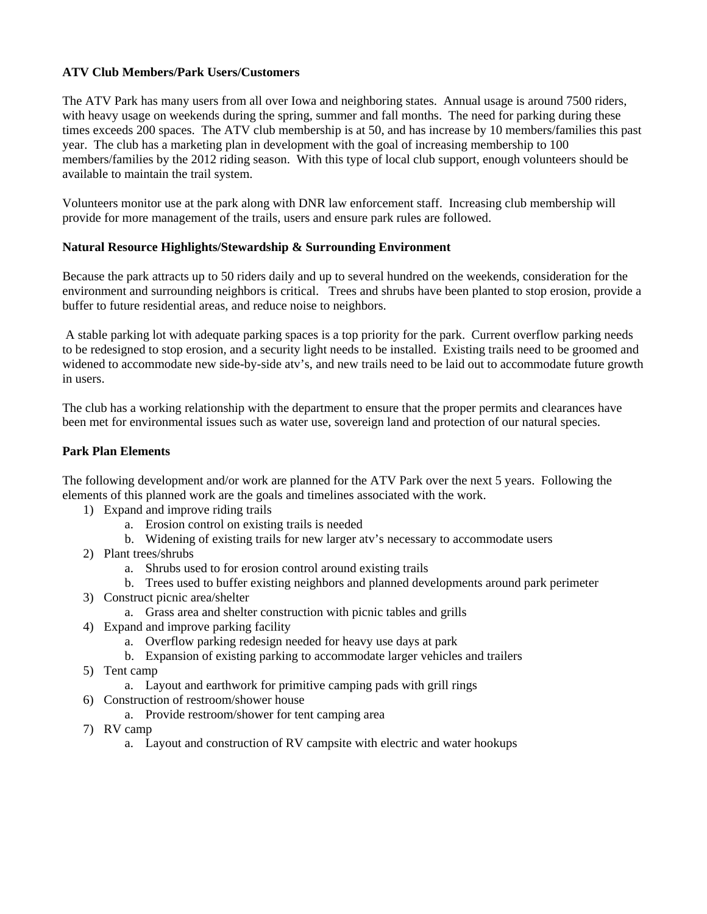#### **ATV Club Members/Park Users/Customers**

The ATV Park has many users from all over Iowa and neighboring states. Annual usage is around 7500 riders, with heavy usage on weekends during the spring, summer and fall months. The need for parking during these times exceeds 200 spaces. The ATV club membership is at 50, and has increase by 10 members/families this past year. The club has a marketing plan in development with the goal of increasing membership to 100 members/families by the 2012 riding season. With this type of local club support, enough volunteers should be available to maintain the trail system.

Volunteers monitor use at the park along with DNR law enforcement staff. Increasing club membership will provide for more management of the trails, users and ensure park rules are followed.

#### **Natural Resource Highlights/Stewardship & Surrounding Environment**

Because the park attracts up to 50 riders daily and up to several hundred on the weekends, consideration for the environment and surrounding neighbors is critical. Trees and shrubs have been planted to stop erosion, provide a buffer to future residential areas, and reduce noise to neighbors.

 A stable parking lot with adequate parking spaces is a top priority for the park. Current overflow parking needs to be redesigned to stop erosion, and a security light needs to be installed. Existing trails need to be groomed and widened to accommodate new side-by-side atv's, and new trails need to be laid out to accommodate future growth in users.

The club has a working relationship with the department to ensure that the proper permits and clearances have been met for environmental issues such as water use, sovereign land and protection of our natural species.

#### **Park Plan Elements**

The following development and/or work are planned for the ATV Park over the next 5 years. Following the elements of this planned work are the goals and timelines associated with the work.

- 1) Expand and improve riding trails
	- a. Erosion control on existing trails is needed
	- b. Widening of existing trails for new larger atv's necessary to accommodate users
- 2) Plant trees/shrubs
	- a. Shrubs used to for erosion control around existing trails
	- b. Trees used to buffer existing neighbors and planned developments around park perimeter
- 3) Construct picnic area/shelter
	- a. Grass area and shelter construction with picnic tables and grills
- 4) Expand and improve parking facility
	- a. Overflow parking redesign needed for heavy use days at park
	- b. Expansion of existing parking to accommodate larger vehicles and trailers
- 5) Tent camp
	- a. Layout and earthwork for primitive camping pads with grill rings
- 6) Construction of restroom/shower house
	- a. Provide restroom/shower for tent camping area
- 7) RV camp
	- a. Layout and construction of RV campsite with electric and water hookups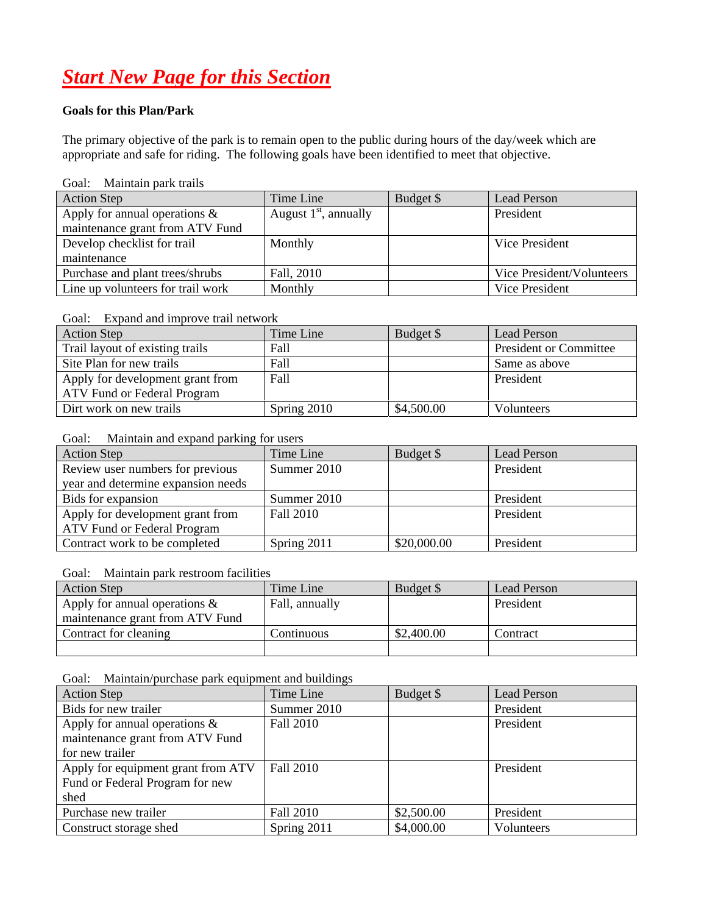# *Start New Page for this Section*

#### **Goals for this Plan/Park**

The primary objective of the park is to remain open to the public during hours of the day/week which are appropriate and safe for riding. The following goals have been identified to meet that objective.

#### Goal: Maintain park trails

| <b>Action Step</b>                                                  | Time Line               | Budget \$ | Lead Person               |
|---------------------------------------------------------------------|-------------------------|-----------|---------------------------|
| Apply for annual operations $\&$<br>maintenance grant from ATV Fund | August $1st$ , annually |           | President                 |
| Develop checklist for trail                                         | Monthly                 |           | Vice President            |
| maintenance                                                         |                         |           |                           |
| Purchase and plant trees/shrubs                                     | Fall, 2010              |           | Vice President/Volunteers |
| Line up volunteers for trail work                                   | Monthly                 |           | Vice President            |

#### Goal: Expand and improve trail network

| <b>Action Step</b>               | Time Line   | Budget \$  | Lead Person                   |
|----------------------------------|-------------|------------|-------------------------------|
| Trail layout of existing trails  | Fall        |            | <b>President or Committee</b> |
| Site Plan for new trails         | Fall        |            | Same as above                 |
| Apply for development grant from | Fall        |            | President                     |
| ATV Fund or Federal Program      |             |            |                               |
| Dirt work on new trails          | Spring 2010 | \$4,500.00 | <b>Volunteers</b>             |

#### Goal: Maintain and expand parking for users

| <b>Action Step</b>                 | Time Line   | Budget \$   | Lead Person |
|------------------------------------|-------------|-------------|-------------|
| Review user numbers for previous   | Summer 2010 |             | President   |
| year and determine expansion needs |             |             |             |
| Bids for expansion                 | Summer 2010 |             | President   |
| Apply for development grant from   | Fall 2010   |             | President   |
| ATV Fund or Federal Program        |             |             |             |
| Contract work to be completed      | Spring 2011 | \$20,000.00 | President   |

#### Goal: Maintain park restroom facilities

| <b>Action Step</b>                                                  | Time Line      | Budget \$  | Lead Person |
|---------------------------------------------------------------------|----------------|------------|-------------|
| Apply for annual operations $\&$<br>maintenance grant from ATV Fund | Fall, annually |            | President   |
| Contract for cleaning                                               | Continuous     | \$2,400.00 | Contract    |
|                                                                     |                |            |             |

Goal: Maintain/purchase park equipment and buildings

| <b>Action Step</b>                 | Time Line        | Budget \$  | <b>Lead Person</b> |
|------------------------------------|------------------|------------|--------------------|
| Bids for new trailer               | Summer 2010      |            | President          |
| Apply for annual operations $\&$   | <b>Fall 2010</b> |            | President          |
| maintenance grant from ATV Fund    |                  |            |                    |
| for new trailer                    |                  |            |                    |
| Apply for equipment grant from ATV | <b>Fall 2010</b> |            | President          |
| Fund or Federal Program for new    |                  |            |                    |
| shed                               |                  |            |                    |
| Purchase new trailer               | <b>Fall 2010</b> | \$2,500.00 | President          |
| Construct storage shed             | Spring 2011      | \$4,000.00 | Volunteers         |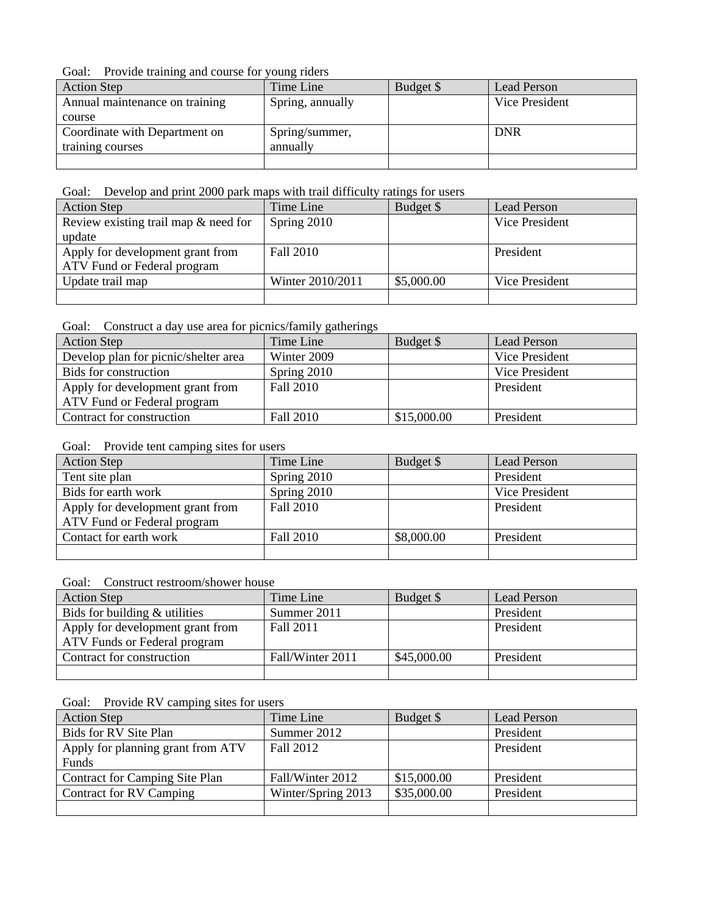Goal: Provide training and course for young riders

| <b>Action Step</b>             | Time Line        | Budget \$ | Lead Person    |
|--------------------------------|------------------|-----------|----------------|
| Annual maintenance on training | Spring, annually |           | Vice President |
| course                         |                  |           |                |
| Coordinate with Department on  | Spring/summer,   |           | <b>DNR</b>     |
| training courses               | annually         |           |                |
|                                |                  |           |                |

Goal: Develop and print 2000 park maps with trail difficulty ratings for users

| <b>Action Step</b>                      | Time Line        | Budget \$  | Lead Person    |
|-----------------------------------------|------------------|------------|----------------|
| Review existing trail map $\&$ need for | Spring 2010      |            | Vice President |
| update                                  |                  |            |                |
| Apply for development grant from        | Fall 2010        |            | President      |
| ATV Fund or Federal program             |                  |            |                |
| Update trail map                        | Winter 2010/2011 | \$5,000.00 | Vice President |
|                                         |                  |            |                |

Goal: Construct a day use area for picnics/family gatherings

| <b>Action Step</b>                   | Time Line        | Budget \$   | Lead Person    |
|--------------------------------------|------------------|-------------|----------------|
| Develop plan for picnic/shelter area | Winter 2009      |             | Vice President |
| Bids for construction                | Spring 2010      |             | Vice President |
| Apply for development grant from     | <b>Fall 2010</b> |             | President      |
| ATV Fund or Federal program          |                  |             |                |
| Contract for construction            | Fall 2010        | \$15,000.00 | President      |

#### Goal: Provide tent camping sites for users

| <b>Action Step</b>               | Time Line   | Budget \$  | <b>Lead Person</b> |
|----------------------------------|-------------|------------|--------------------|
| Tent site plan                   | Spring 2010 |            | President          |
| Bids for earth work              | Spring 2010 |            | Vice President     |
| Apply for development grant from | Fall 2010   |            | President          |
| ATV Fund or Federal program      |             |            |                    |
| Contact for earth work           | Fall 2010   | \$8,000.00 | President          |
|                                  |             |            |                    |

#### Goal: Construct restroom/shower house

| <b>Action Step</b>               | Time Line        | Budget \$   | Lead Person |
|----------------------------------|------------------|-------------|-------------|
| Bids for building $&$ utilities  | Summer 2011      |             | President   |
| Apply for development grant from | Fall 2011        |             | President   |
| ATV Funds or Federal program     |                  |             |             |
| Contract for construction        | Fall/Winter 2011 | \$45,000.00 | President   |
|                                  |                  |             |             |

Goal: Provide RV camping sites for users

| <b>Action Step</b>                    | Time Line          | Budget \$   | <b>Lead Person</b> |
|---------------------------------------|--------------------|-------------|--------------------|
| Bids for RV Site Plan                 | Summer 2012        |             | President          |
| Apply for planning grant from ATV     | Fall 2012          |             | President          |
| Funds                                 |                    |             |                    |
| <b>Contract for Camping Site Plan</b> | Fall/Winter 2012   | \$15,000.00 | President          |
| Contract for RV Camping               | Winter/Spring 2013 | \$35,000.00 | President          |
|                                       |                    |             |                    |